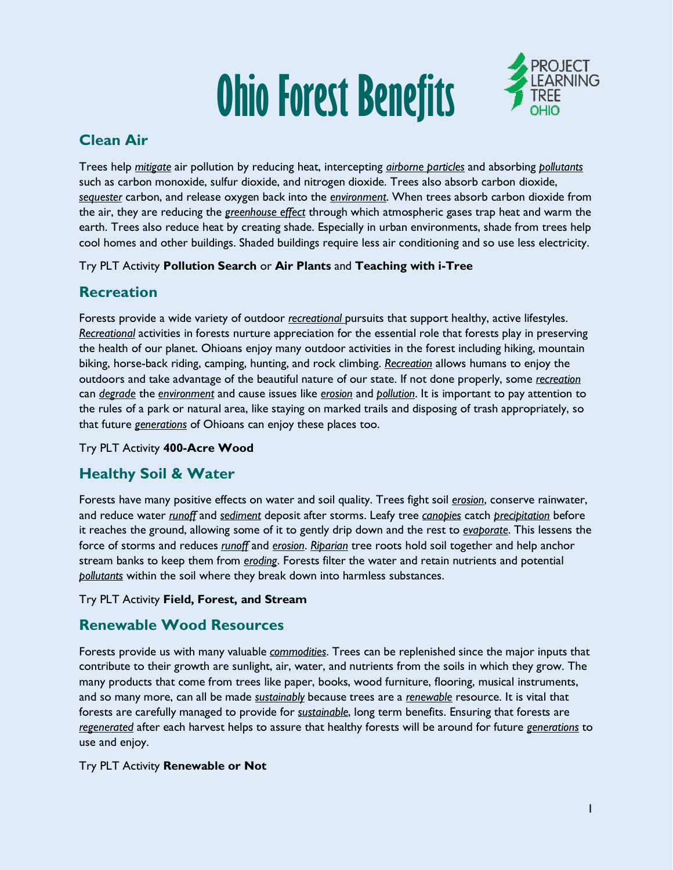# **Ohio Forest Benefits**



# **Clean Air**

Trees help *mitigate* air pollution by reducing heat, intercepting *airborne particles* and absorbing *pollutants* such as carbon monoxide, sulfur dioxide, and nitrogen dioxide. Trees also absorb carbon dioxide, *sequester* carbon, and release oxygen back into the *environment*. When trees absorb carbon dioxide from the air, they are reducing the *greenhouse effect* through which atmospheric gases trap heat and warm the earth. Trees also reduce heat by creating shade. Especially in urban environments, shade from trees help cool homes and other buildings. Shaded buildings require less air conditioning and so use less electricity.

## Try PLT Activity **Pollution Search** or **Air Plants** and **Teaching with i-Tree**

# **Recreation**

Forests provide a wide variety of outdoor *recreational* pursuits that support healthy, active lifestyles. *Recreational* activities in forests nurture appreciation for the essential role that forests play in preserving the health of our planet. Ohioans enjoy many outdoor activities in the forest including hiking, mountain biking, horse-back riding, camping, hunting, and rock climbing. *Recreation* allows humans to enjoy the outdoors and take advantage of the beautiful nature of our state. If not done properly, some *recreation* can *degrade* the *environment* and cause issues like *erosion* and *pollution*. It is important to pay attention to the rules of a park or natural area, like staying on marked trails and disposing of trash appropriately, so that future *generations* of Ohioans can enjoy these places too.

## Try PLT Activity **400-Acre Wood**

# **Healthy Soil & Water**

Forests have many positive effects on water and soil quality. Trees fight soil *erosion*, conserve rainwater, and reduce water *runoff* and *sediment* deposit after storms. Leafy tree *canopies* catch *precipitation* before it reaches the ground, allowing some of it to gently drip down and the rest to *evaporate*. This lessens the force of storms and reduces *runoff* and *erosion*. *Riparian* tree roots hold soil together and help anchor stream banks to keep them from *eroding*. Forests filter the water and retain nutrients and potential *pollutants* within the soil where they break down into harmless substances.

## Try PLT Activity **Field, Forest, and Stream**

# **Renewable Wood Resources**

Forests provide us with many valuable *commodities*. Trees can be replenished since the major inputs that contribute to their growth are sunlight, air, water, and nutrients from the soils in which they grow. The many products that come from trees like paper, books, wood furniture, flooring, musical instruments, and so many more, can all be made *sustainably* because trees are a *renewable* resource. It is vital that forests are carefully managed to provide for *sustainable*, long term benefits. Ensuring that forests are *regenerated* after each harvest helps to assure that healthy forests will be around for future *generations* to use and enjoy.

#### Try PLT Activity **Renewable or Not**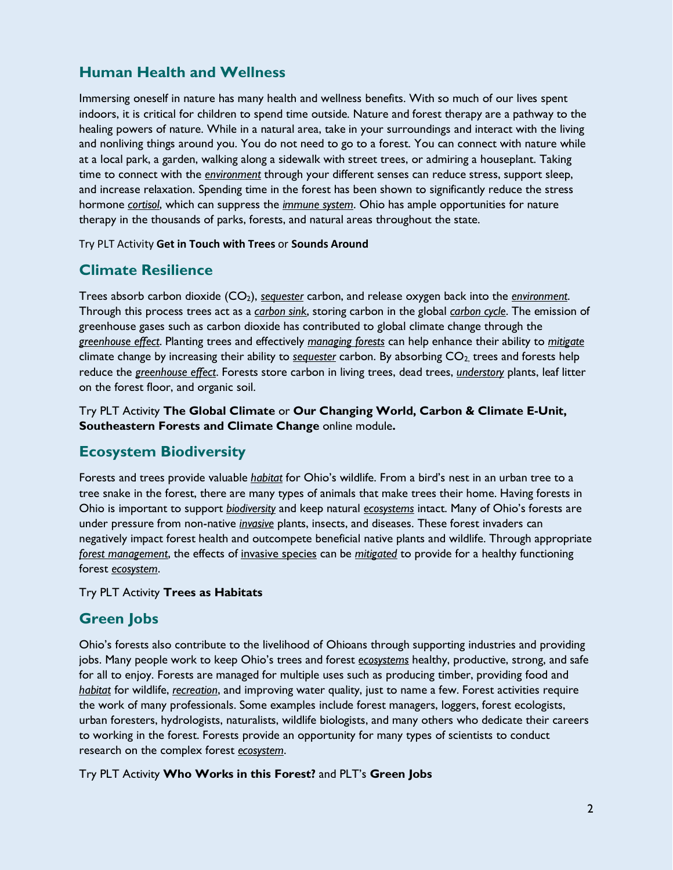# **Human Health and Wellness**

Immersing oneself in nature has many health and wellness benefits. With so much of our lives spent indoors, it is critical for children to spend time outside. Nature and forest therapy are a pathway to the healing powers of nature. While in a natural area, take in your surroundings and interact with the living and nonliving things around you. You do not need to go to a forest. You can connect with nature while at a local park, a garden, walking along a sidewalk with street trees, or admiring a houseplant. Taking time to connect with the *environment* through your different senses can reduce stress, support sleep, and increase relaxation. Spending time in the forest has been shown to significantly reduce the stress hormone *cortisol*, which can suppress the *immune system*. Ohio has ample opportunities for nature therapy in the thousands of parks, forests, and natural areas throughout the state.

#### Try PLT Activity **Get in Touch with Trees** or **Sounds Around**

# **Climate Resilience**

Trees absorb carbon dioxide (CO2), *sequester* carbon, and release oxygen back into the *environment*. Through this process trees act as a *carbon sink*, storing carbon in the global *carbon cycle*. The emission of greenhouse gases such as carbon dioxide has contributed to global climate change through the *greenhouse effect*. Planting trees and effectively *managing forests* can help enhance their ability to *mitigate* climate change by increasing their ability to *sequester* carbon. By absorbing CO2, trees and forests help reduce the *greenhouse effect*. Forests store carbon in living trees, dead trees, *understory* plants, leaf litter on the forest floor, and organic soil.

Try PLT Activity **The Global Climate** or **Our Changing World, Carbon & Climate E-Unit, Southeastern Forests and Climate Change** online module**.** 

# **Ecosystem Biodiversity**

Forests and trees provide valuable *habitat* for Ohio's wildlife. From a bird's nest in an urban tree to a tree snake in the forest, there are many types of animals that make trees their home. Having forests in Ohio is important to support *biodiversity* and keep natural *ecosystems* intact. Many of Ohio's forests are under pressure from non-native *invasive* plants, insects, and diseases. These forest invaders can negatively impact forest health and outcompete beneficial native plants and wildlife. Through appropriate *forest management*, the effects of invasive species can be *mitigated* to provide for a healthy functioning forest *ecosystem*.

#### Try PLT Activity **Trees as Habitats**

# **Green Jobs**

Ohio's forests also contribute to the livelihood of Ohioans through supporting industries and providing jobs. Many people work to keep Ohio's trees and forest *ecosystems* healthy, productive, strong, and safe for all to enjoy. Forests are managed for multiple uses such as producing timber, providing food and *habitat* for wildlife, *recreation*, and improving water quality, just to name a few. Forest activities require the work of many professionals. Some examples include forest managers, loggers, forest ecologists, urban foresters, hydrologists, naturalists, wildlife biologists, and many others who dedicate their careers to working in the forest. Forests provide an opportunity for many types of scientists to conduct research on the complex forest *ecosystem*.

Try PLT Activity **Who Works in this Forest?** and PLT's **Green Jobs**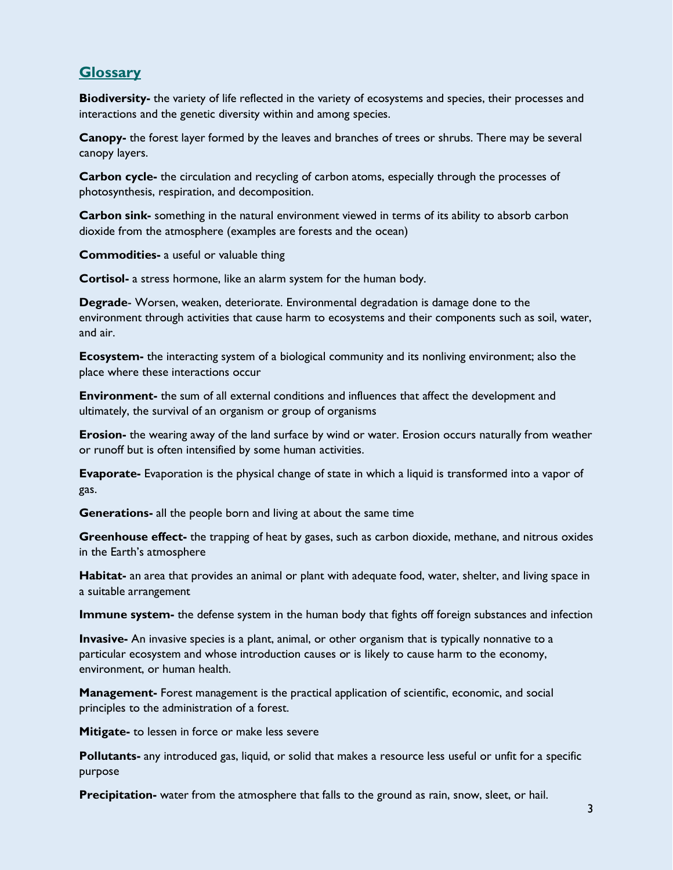## **Glossary**

**Biodiversity-** the variety of life reflected in the variety of ecosystems and species, their processes and interactions and the genetic diversity within and among species.

**Canopy-** the forest layer formed by the leaves and branches of trees or shrubs. There may be several canopy layers.

**Carbon cycle-** the circulation and recycling of carbon atoms, especially through the processes of photosynthesis, respiration, and decomposition.

**Carbon sink-** something in the natural environment viewed in terms of its ability to absorb carbon dioxide from the atmosphere (examples are forests and the ocean)

**Commodities-** a useful or valuable thing

**Cortisol-** a stress hormone, like an alarm system for the human body.

**Degrade**- Worsen, weaken, deteriorate. Environmental degradation is damage done to the environment through activities that cause harm to ecosystems and their components such as soil, water, and air.

**Ecosystem-** the interacting system of a biological community and its nonliving environment; also the place where these interactions occur

**Environment-** the sum of all external conditions and influences that affect the development and ultimately, the survival of an organism or group of organisms

**Erosion-** the wearing away of the land surface by wind or water. Erosion occurs naturally from weather or runoff but is often intensified by some human activities.

**Evaporate-** Evaporation is the physical change of state in which a liquid is transformed into a vapor of gas.

**Generations-** all the people born and living at about the same time

**Greenhouse effect-** the trapping of heat by gases, such as carbon dioxide, methane, and nitrous oxides in the Earth's atmosphere

**Habitat-** an area that provides an animal or plant with adequate food, water, shelter, and living space in a suitable arrangement

**Immune system-** the defense system in the human body that fights off foreign substances and infection

**Invasive-** An invasive species is a plant, animal, or other organism that is typically nonnative to a particular ecosystem and whose introduction causes or is likely to cause harm to the economy, environment, or human health.

**Management-** Forest management is the practical application of scientific, economic, and social principles to the administration of a forest.

**Mitigate-** to lessen in force or make less severe

**Pollutants-** any introduced gas, liquid, or solid that makes a resource less useful or unfit for a specific purpose

**Precipitation-** water from the atmosphere that falls to the ground as rain, snow, sleet, or hail.